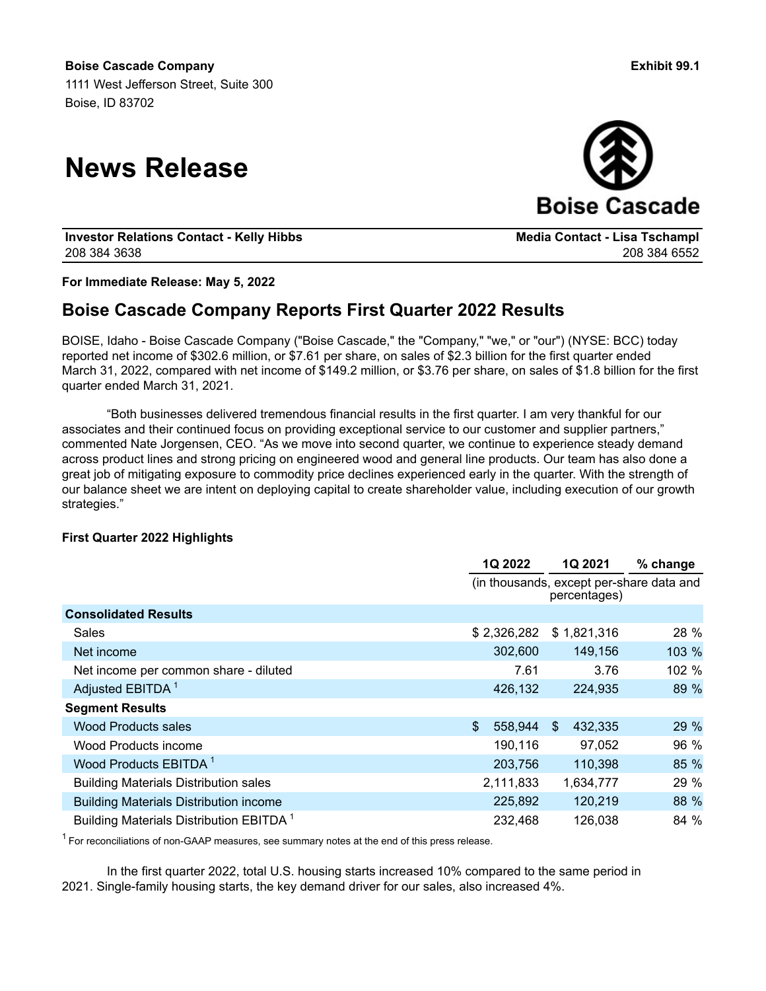# **News Release**



**Media Contact - Lisa Tschampl** 208 384 6552

**Investor Relations Contact - Kelly Hibbs** 208 384 3638

**For Immediate Release: May 5, 2022**

# **Boise Cascade Company Reports First Quarter 2022 Results**

BOISE, Idaho - Boise Cascade Company ("Boise Cascade," the "Company," "we," or "our") (NYSE: BCC) today reported net income of \$302.6 million, or \$7.61 per share, on sales of \$2.3 billion for the first quarter ended March 31, 2022, compared with net income of \$149.2 million, or \$3.76 per share, on sales of \$1.8 billion for the first quarter ended March 31, 2021.

 "Both businesses delivered tremendous financial results in the first quarter. I am very thankful for our associates and their continued focus on providing exceptional service to our customer and supplier partners," commented Nate Jorgensen, CEO. "As we move into second quarter, we continue to experience steady demand across product lines and strong pricing on engineered wood and general line products. Our team has also done a great job of mitigating exposure to commodity price declines experienced early in the quarter. With the strength of our balance sheet we are intent on deploying capital to create shareholder value, including execution of our growth strategies."

#### **First Quarter 2022 Highlights**

|                                                     | 1Q 2022       | 1Q 2021                                                  | % change |
|-----------------------------------------------------|---------------|----------------------------------------------------------|----------|
|                                                     |               | (in thousands, except per-share data and<br>percentages) |          |
| <b>Consolidated Results</b>                         |               |                                                          |          |
| Sales                                               | \$2,326,282   | \$1,821,316                                              | 28 %     |
| Net income                                          | 302,600       | 149,156                                                  | 103 %    |
| Net income per common share - diluted               | 7.61          | 3.76                                                     | 102 %    |
| Adjusted EBITDA <sup>1</sup>                        | 426,132       | 224,935                                                  | 89 %     |
| <b>Segment Results</b>                              |               |                                                          |          |
| <b>Wood Products sales</b>                          | \$<br>558,944 | \$<br>432,335                                            | 29 %     |
| <b>Wood Products income</b>                         | 190,116       | 97,052                                                   | 96 %     |
| Wood Products EBITDA <sup>1</sup>                   | 203,756       | 110,398                                                  | 85 %     |
| <b>Building Materials Distribution sales</b>        | 2,111,833     | 1,634,777                                                | 29 %     |
| <b>Building Materials Distribution income</b>       | 225,892       | 120,219                                                  | 88 %     |
| Building Materials Distribution EBITDA <sup>1</sup> | 232,468       | 126,038                                                  | 84 %     |

 $1$  For reconciliations of non-GAAP measures, see summary notes at the end of this press release.

In the first quarter 2022, total U.S. housing starts increased 10% compared to the same period in 2021. Single-family housing starts, the key demand driver for our sales, also increased 4%.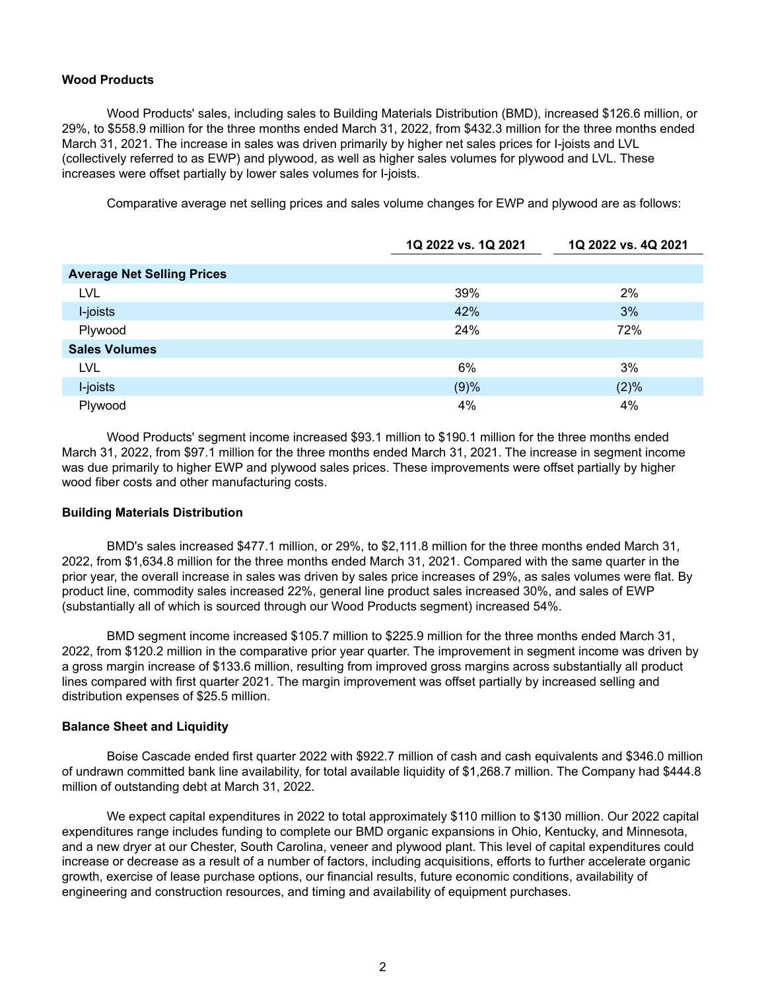#### **Wood Products**

 Wood Products' sales, including sales to Building Materials Distribution (BMD), increased \$126.6 million, or 29%, to \$558.9 million for the three months ended March 31, 2022, from \$432.3 million for the three months ended March 31, 2021. The increase in sales was driven primarily by higher net sales prices for I-joists and LVL (collectively referred to as EWP) and plywood, as well as higher sales volumes for plywood and LVL. These increases were offset partially by lower sales volumes for I-joists.

Comparative average net selling prices and sales volume changes for EWP and plywood are as follows:

|                                   | 1Q 2022 vs. 1Q 2021 | 1Q 2022 vs. 4Q 2021 |
|-----------------------------------|---------------------|---------------------|
| <b>Average Net Selling Prices</b> |                     |                     |
| <b>LVL</b>                        | 39%                 | 2%                  |
| I-joists                          | 42%                 | 3%                  |
| Plywood                           | 24%                 | 72%                 |
| <b>Sales Volumes</b>              |                     |                     |
| <b>LVL</b>                        | 6%                  | 3%                  |
| I-joists                          | (9)%                | (2)%                |
| Plywood                           | 4%                  | 4%                  |

Wood Products' segment income increased \$93.1 million to \$190.1 million for the three months ended March 31, 2022, from \$97.1 million for the three months ended March 31, 2021. The increase in segment income was due primarily to higher EWP and plywood sales prices. These improvements were offset partially by higher wood fiber costs and other manufacturing costs.

#### **Building Materials Distribution**

 BMD's sales increased \$477.1 million, or 29%, to \$2,111.8 million for the three months ended March 31, 2022, from \$1,634.8 million for the three months ended March 31, 2021. Compared with the same quarter in the prior year, the overall increase in sales was driven by sales price increases of 29%, as sales volumes were flat. By product line, commodity sales increased 22%, general line product sales increased 30%, and sales of EWP (substantially all of which is sourced through our Wood Products segment) increased 54%.

BMD segment income increased \$105.7 million to \$225.9 million for the three months ended March 31, 2022, from \$120.2 million in the comparative prior year quarter. The improvement in segment income was driven by a gross margin increase of \$133.6 million, resulting from improved gross margins across substantially all product lines compared with first quarter 2021. The margin improvement was offset partially by increased selling and distribution expenses of \$25.5 million.

#### **Balance Sheet and Liquidity**

 Boise Cascade ended first quarter 2022 with \$922.7 million of cash and cash equivalents and \$346.0 million of undrawn committed bank line availability, for total available liquidity of \$1,268.7 million. The Company had \$444.8 million of outstanding debt at March 31, 2022.

We expect capital expenditures in 2022 to total approximately \$110 million to \$130 million. Our 2022 capital expenditures range includes funding to complete our BMD organic expansions in Ohio, Kentucky, and Minnesota, and a new dryer at our Chester, South Carolina, veneer and plywood plant. This level of capital expenditures could increase or decrease as a result of a number of factors, including acquisitions, efforts to further accelerate organic growth, exercise of lease purchase options, our financial results, future economic conditions, availability of engineering and construction resources, and timing and availability of equipment purchases.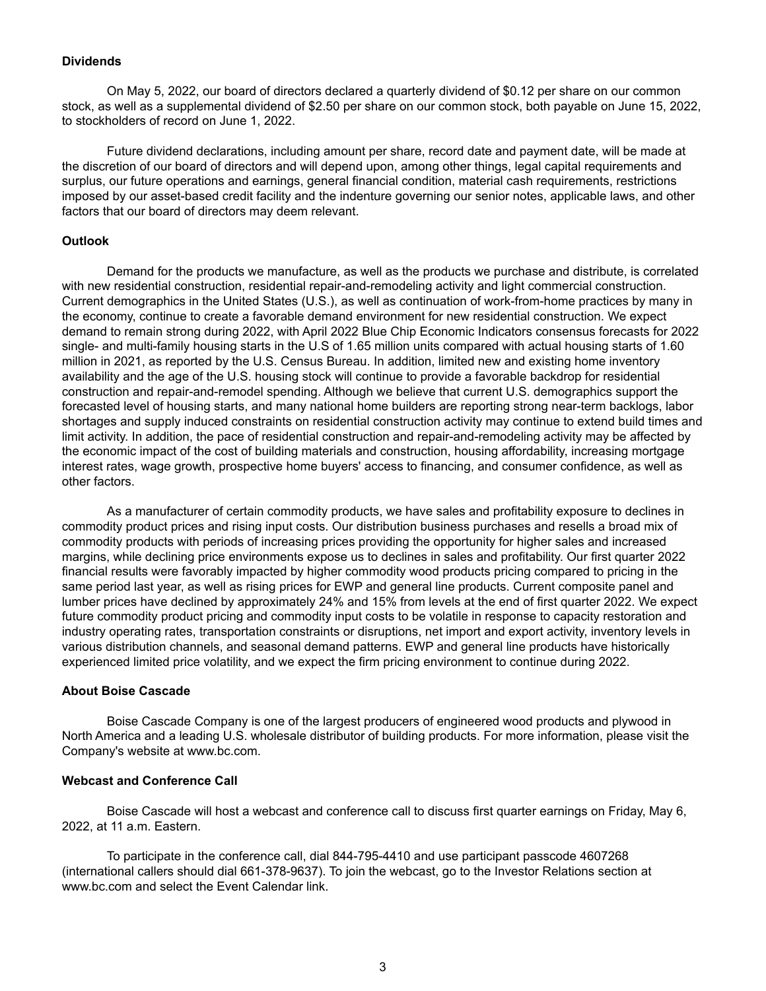#### **Dividends**

On May 5, 2022, our board of directors declared a quarterly dividend of \$0.12 per share on our common stock, as well as a supplemental dividend of \$2.50 per share on our common stock, both payable on June 15, 2022, to stockholders of record on June 1, 2022.

Future dividend declarations, including amount per share, record date and payment date, will be made at the discretion of our board of directors and will depend upon, among other things, legal capital requirements and surplus, our future operations and earnings, general financial condition, material cash requirements, restrictions imposed by our asset-based credit facility and the indenture governing our senior notes, applicable laws, and other factors that our board of directors may deem relevant.

#### **Outlook**

Demand for the products we manufacture, as well as the products we purchase and distribute, is correlated with new residential construction, residential repair-and-remodeling activity and light commercial construction. Current demographics in the United States (U.S.), as well as continuation of work-from-home practices by many in the economy, continue to create a favorable demand environment for new residential construction. We expect demand to remain strong during 2022, with April 2022 Blue Chip Economic Indicators consensus forecasts for 2022 single- and multi-family housing starts in the U.S of 1.65 million units compared with actual housing starts of 1.60 million in 2021, as reported by the U.S. Census Bureau. In addition, limited new and existing home inventory availability and the age of the U.S. housing stock will continue to provide a favorable backdrop for residential construction and repair-and-remodel spending. Although we believe that current U.S. demographics support the forecasted level of housing starts, and many national home builders are reporting strong near-term backlogs, labor shortages and supply induced constraints on residential construction activity may continue to extend build times and limit activity. In addition, the pace of residential construction and repair-and-remodeling activity may be affected by the economic impact of the cost of building materials and construction, housing affordability, increasing mortgage interest rates, wage growth, prospective home buyers' access to financing, and consumer confidence, as well as other factors.

 As a manufacturer of certain commodity products, we have sales and profitability exposure to declines in commodity product prices and rising input costs. Our distribution business purchases and resells a broad mix of commodity products with periods of increasing prices providing the opportunity for higher sales and increased margins, while declining price environments expose us to declines in sales and profitability. Our first quarter 2022 financial results were favorably impacted by higher commodity wood products pricing compared to pricing in the same period last year, as well as rising prices for EWP and general line products. Current composite panel and lumber prices have declined by approximately 24% and 15% from levels at the end of first quarter 2022. We expect future commodity product pricing and commodity input costs to be volatile in response to capacity restoration and industry operating rates, transportation constraints or disruptions, net import and export activity, inventory levels in various distribution channels, and seasonal demand patterns. EWP and general line products have historically experienced limited price volatility, and we expect the firm pricing environment to continue during 2022.

#### **About Boise Cascade**

 Boise Cascade Company is one of the largest producers of engineered wood products and plywood in North America and a leading U.S. wholesale distributor of building products. For more information, please visit the Company's website at www.bc.com.

#### **Webcast and Conference Call**

 Boise Cascade will host a webcast and conference call to discuss first quarter earnings on Friday, May 6, 2022, at 11 a.m. Eastern.

To participate in the conference call, dial 844-795-4410 and use participant passcode 4607268 (international callers should dial 661-378-9637). To join the webcast, go to the Investor Relations section at www.bc.com and select the Event Calendar link.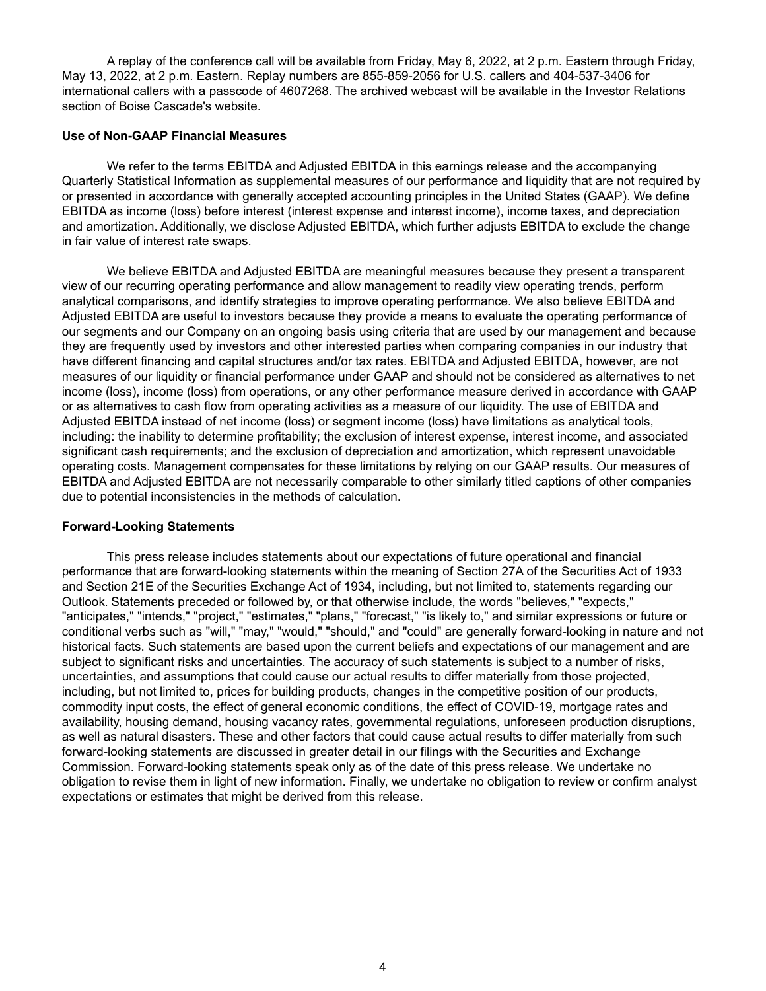A replay of the conference call will be available from Friday, May 6, 2022, at 2 p.m. Eastern through Friday, May 13, 2022, at 2 p.m. Eastern. Replay numbers are 855-859-2056 for U.S. callers and 404-537-3406 for international callers with a passcode of 4607268. The archived webcast will be available in the Investor Relations section of Boise Cascade's website.

#### **Use of Non-GAAP Financial Measures**

 We refer to the terms EBITDA and Adjusted EBITDA in this earnings release and the accompanying Quarterly Statistical Information as supplemental measures of our performance and liquidity that are not required by or presented in accordance with generally accepted accounting principles in the United States (GAAP). We define EBITDA as income (loss) before interest (interest expense and interest income), income taxes, and depreciation and amortization. Additionally, we disclose Adjusted EBITDA, which further adjusts EBITDA to exclude the change in fair value of interest rate swaps.

 We believe EBITDA and Adjusted EBITDA are meaningful measures because they present a transparent view of our recurring operating performance and allow management to readily view operating trends, perform analytical comparisons, and identify strategies to improve operating performance. We also believe EBITDA and Adjusted EBITDA are useful to investors because they provide a means to evaluate the operating performance of our segments and our Company on an ongoing basis using criteria that are used by our management and because they are frequently used by investors and other interested parties when comparing companies in our industry that have different financing and capital structures and/or tax rates. EBITDA and Adjusted EBITDA, however, are not measures of our liquidity or financial performance under GAAP and should not be considered as alternatives to net income (loss), income (loss) from operations, or any other performance measure derived in accordance with GAAP or as alternatives to cash flow from operating activities as a measure of our liquidity. The use of EBITDA and Adjusted EBITDA instead of net income (loss) or segment income (loss) have limitations as analytical tools, including: the inability to determine profitability; the exclusion of interest expense, interest income, and associated significant cash requirements; and the exclusion of depreciation and amortization, which represent unavoidable operating costs. Management compensates for these limitations by relying on our GAAP results. Our measures of EBITDA and Adjusted EBITDA are not necessarily comparable to other similarly titled captions of other companies due to potential inconsistencies in the methods of calculation.

#### **Forward-Looking Statements**

 This press release includes statements about our expectations of future operational and financial performance that are forward-looking statements within the meaning of Section 27A of the Securities Act of 1933 and Section 21E of the Securities Exchange Act of 1934, including, but not limited to, statements regarding our Outlook. Statements preceded or followed by, or that otherwise include, the words "believes," "expects," "anticipates," "intends," "project," "estimates," "plans," "forecast," "is likely to," and similar expressions or future or conditional verbs such as "will," "may," "would," "should," and "could" are generally forward-looking in nature and not historical facts. Such statements are based upon the current beliefs and expectations of our management and are subject to significant risks and uncertainties. The accuracy of such statements is subject to a number of risks, uncertainties, and assumptions that could cause our actual results to differ materially from those projected, including, but not limited to, prices for building products, changes in the competitive position of our products, commodity input costs, the effect of general economic conditions, the effect of COVID-19, mortgage rates and availability, housing demand, housing vacancy rates, governmental regulations, unforeseen production disruptions, as well as natural disasters. These and other factors that could cause actual results to differ materially from such forward-looking statements are discussed in greater detail in our filings with the Securities and Exchange Commission. Forward-looking statements speak only as of the date of this press release. We undertake no obligation to revise them in light of new information. Finally, we undertake no obligation to review or confirm analyst expectations or estimates that might be derived from this release.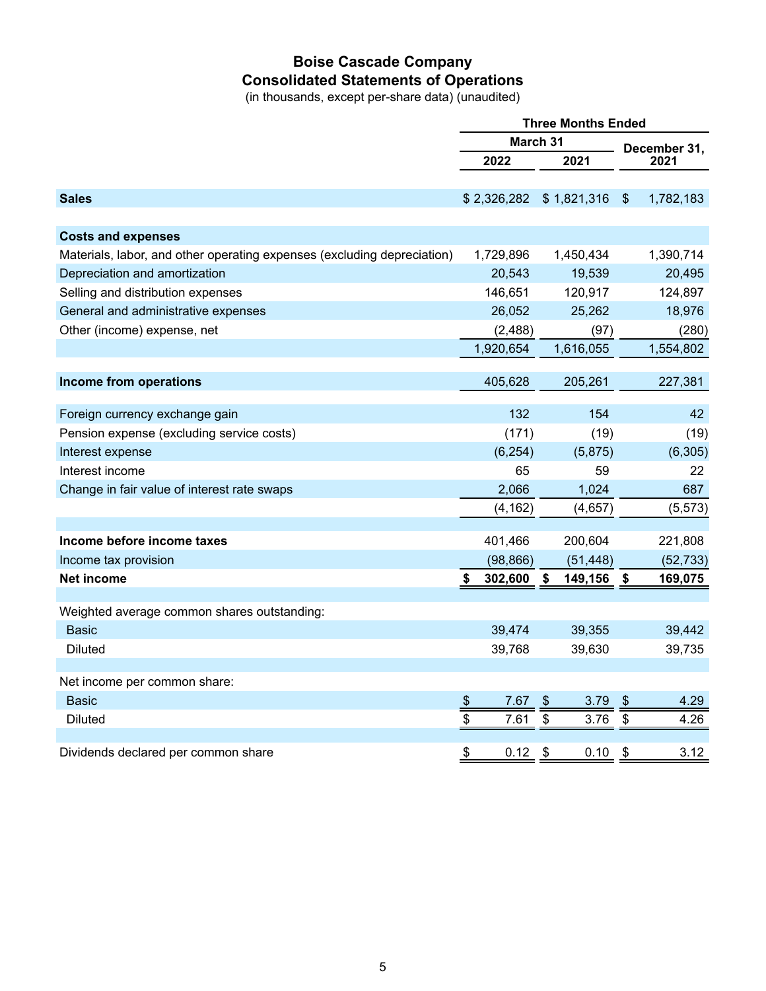# **Boise Cascade Company Consolidated Statements of Operations**

(in thousands, except per-share data) (unaudited)

|                                                                         | <b>Three Months Ended</b> |               |                       |  |  |
|-------------------------------------------------------------------------|---------------------------|---------------|-----------------------|--|--|
|                                                                         |                           | March 31      | December 31,          |  |  |
|                                                                         | 2022                      | 2021          | 2021                  |  |  |
| <b>Sales</b>                                                            | \$2,326,282               | \$1,821,316   | 1,782,183<br>\$       |  |  |
| <b>Costs and expenses</b>                                               |                           |               |                       |  |  |
| Materials, labor, and other operating expenses (excluding depreciation) | 1,729,896                 | 1,450,434     | 1,390,714             |  |  |
| Depreciation and amortization                                           | 20,543                    | 19,539        | 20,495                |  |  |
| Selling and distribution expenses                                       | 146,651                   | 120,917       | 124,897               |  |  |
| General and administrative expenses                                     | 26,052                    | 25,262        | 18,976                |  |  |
| Other (income) expense, net                                             | (2, 488)                  | (97)          | (280)                 |  |  |
|                                                                         | 1,920,654                 | 1,616,055     | 1,554,802             |  |  |
|                                                                         |                           |               |                       |  |  |
| Income from operations                                                  | 405,628                   | 205,261       | 227,381               |  |  |
| Foreign currency exchange gain                                          | 132                       | 154           | 42                    |  |  |
| Pension expense (excluding service costs)                               | (171)                     | (19)          | (19)                  |  |  |
| Interest expense                                                        | (6, 254)                  | (5,875)       | (6, 305)              |  |  |
| Interest income                                                         | 65                        | 59            | 22                    |  |  |
| Change in fair value of interest rate swaps                             | 2,066                     | 1,024         | 687                   |  |  |
|                                                                         | (4, 162)                  | (4,657)       | (5, 573)              |  |  |
|                                                                         |                           |               |                       |  |  |
| Income before income taxes                                              | 401,466                   | 200,604       | 221,808               |  |  |
| Income tax provision                                                    | (98, 866)                 | (51, 448)     | (52, 733)             |  |  |
| <b>Net income</b>                                                       | \$<br>302,600             | \$<br>149,156 | \$<br>169,075         |  |  |
| Weighted average common shares outstanding:                             |                           |               |                       |  |  |
| <b>Basic</b>                                                            | 39,474                    | 39,355        | 39,442                |  |  |
| <b>Diluted</b>                                                          | 39,768                    | 39,630        | 39,735                |  |  |
|                                                                         |                           |               |                       |  |  |
| Net income per common share:                                            |                           |               |                       |  |  |
| Basic                                                                   | $\frac{1}{2}$<br>7.67     | \$<br>3.79    | $\frac{3}{2}$<br>4.29 |  |  |
| Diluted                                                                 | \$<br>7.61                | \$<br>3.76    | $\frac{1}{2}$<br>4.26 |  |  |
| Dividends declared per common share                                     | $\frac{3}{2}$<br>0.12     | \$<br>0.10    | \$<br>3.12            |  |  |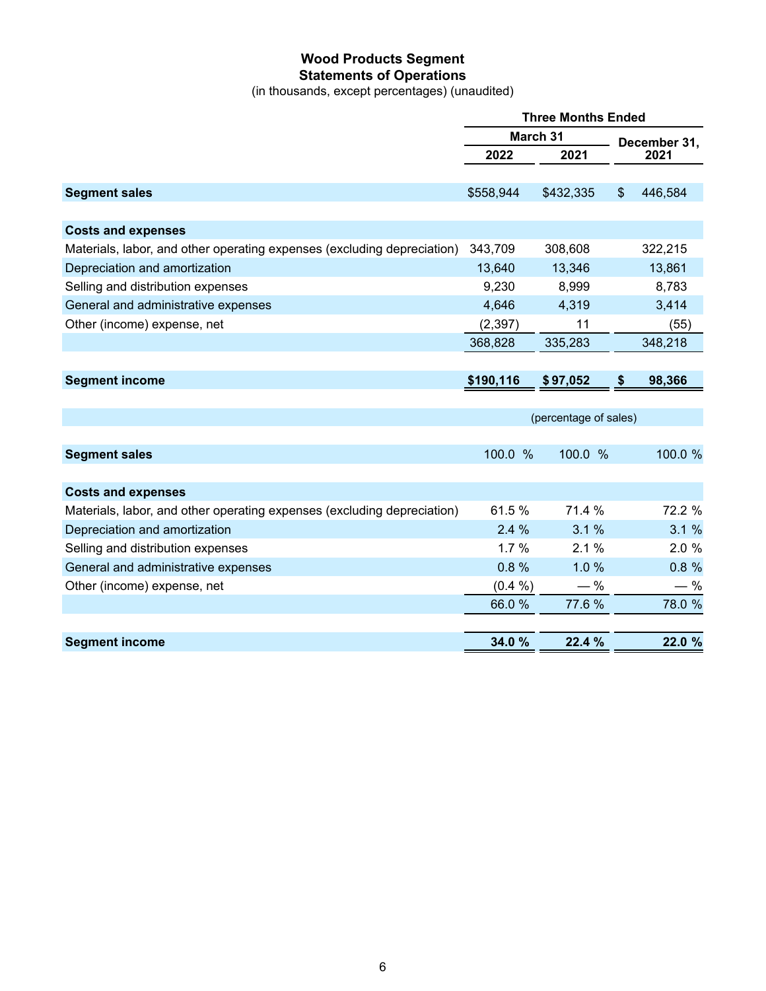### **Wood Products Segment Statements of Operations**

(in thousands, except percentages) (unaudited)

| <b>Three Months Ended</b> |           |                     |                       |
|---------------------------|-----------|---------------------|-----------------------|
|                           |           |                     | December 31,          |
| 2022                      | 2021      |                     | 2021                  |
|                           |           |                     |                       |
| \$558,944                 | \$432,335 | \$                  | 446,584               |
|                           |           |                     |                       |
|                           |           |                     |                       |
| 343,709                   | 308,608   |                     | 322,215               |
| 13,640                    | 13,346    |                     | 13,861                |
| 9,230                     | 8,999     |                     | 8,783                 |
| 4,646                     | 4,319     |                     | 3,414                 |
| (2, 397)                  | 11        |                     | (55)                  |
| 368,828                   | 335,283   |                     | 348,218               |
|                           |           |                     |                       |
| \$190,116                 | \$97,052  | \$                  | 98,366                |
|                           |           |                     |                       |
|                           |           |                     |                       |
|                           |           |                     |                       |
| 100.0 %                   |           |                     | 100.0 %               |
|                           |           |                     |                       |
|                           |           |                     |                       |
| 61.5%                     | 71.4 %    |                     | 72.2 %                |
| 2.4%                      | 3.1%      |                     | 3.1%                  |
| 1.7%                      | 2.1%      |                     | 2.0%                  |
| 0.8%                      | 1.0%      |                     | 0.8%                  |
| (0.4 %)                   | $-$ %     |                     | $-$ %                 |
| 66.0%                     | 77.6 %    |                     | 78.0 %                |
|                           |           |                     |                       |
| 34.0 %                    | 22.4 %    |                     | 22.0 %                |
|                           |           | March 31<br>100.0 % | (percentage of sales) |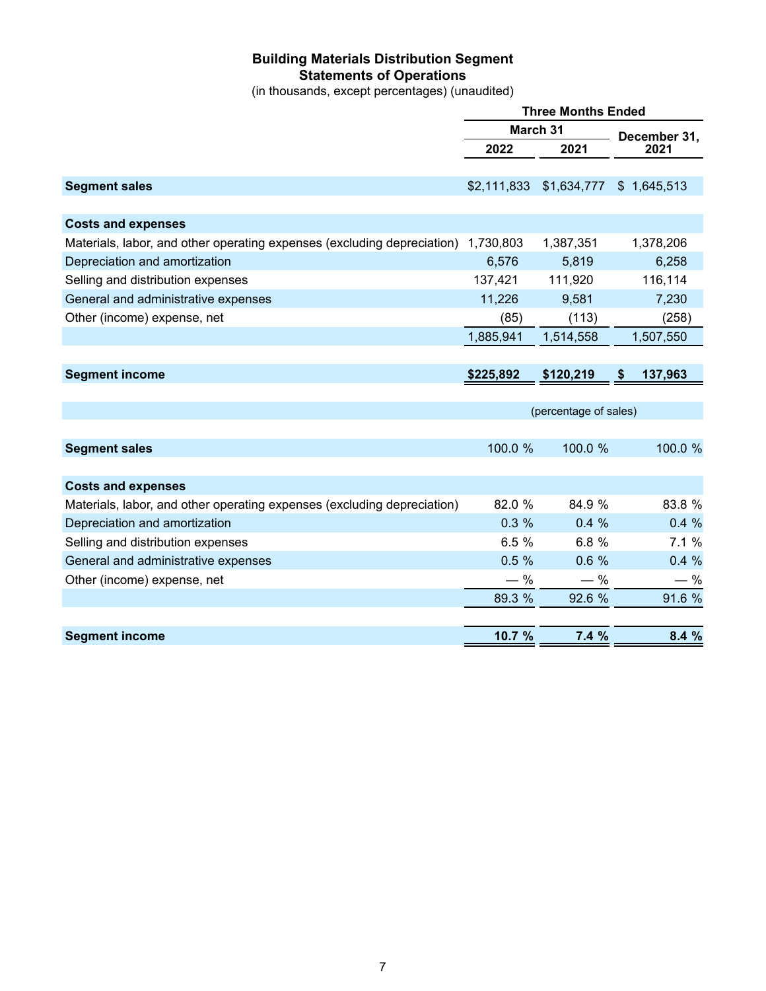# **Building Materials Distribution Segment Statements of Operations**

(in thousands, except percentages) (unaudited)

| March 31<br>December 31,<br>2022<br>2021<br>2021<br>\$2,111,833<br>\$1,634,777<br>\$1,645,513<br><b>Segment sales</b><br><b>Costs and expenses</b><br>Materials, labor, and other operating expenses (excluding depreciation)<br>1,730,803<br>1,387,351<br>1,378,206 |  |
|----------------------------------------------------------------------------------------------------------------------------------------------------------------------------------------------------------------------------------------------------------------------|--|
|                                                                                                                                                                                                                                                                      |  |
|                                                                                                                                                                                                                                                                      |  |
|                                                                                                                                                                                                                                                                      |  |
|                                                                                                                                                                                                                                                                      |  |
|                                                                                                                                                                                                                                                                      |  |
|                                                                                                                                                                                                                                                                      |  |
|                                                                                                                                                                                                                                                                      |  |
| Depreciation and amortization<br>6,576<br>5,819<br>6,258                                                                                                                                                                                                             |  |
| 116,114<br>Selling and distribution expenses<br>137,421<br>111,920                                                                                                                                                                                                   |  |
| 11,226<br>7,230<br>General and administrative expenses<br>9,581                                                                                                                                                                                                      |  |
| Other (income) expense, net<br>(85)<br>(113)<br>(258)                                                                                                                                                                                                                |  |
| 1,885,941<br>1,507,550<br>1,514,558                                                                                                                                                                                                                                  |  |
|                                                                                                                                                                                                                                                                      |  |
| <b>Segment income</b><br>\$120,219<br>\$225,892<br>137,963<br>\$                                                                                                                                                                                                     |  |
|                                                                                                                                                                                                                                                                      |  |
| (percentage of sales)                                                                                                                                                                                                                                                |  |
|                                                                                                                                                                                                                                                                      |  |
| 100.0 %<br>100.0 %<br>100.0 %<br><b>Segment sales</b>                                                                                                                                                                                                                |  |
|                                                                                                                                                                                                                                                                      |  |
| <b>Costs and expenses</b>                                                                                                                                                                                                                                            |  |
| 83.8 %<br>82.0 %<br>84.9 %<br>Materials, labor, and other operating expenses (excluding depreciation)                                                                                                                                                                |  |
| 0.3%<br>0.4%<br>0.4%<br>Depreciation and amortization                                                                                                                                                                                                                |  |
| 7.1%<br>6.5%<br>6.8%<br>Selling and distribution expenses                                                                                                                                                                                                            |  |
| 0.5%<br>0.6%<br>0.4%<br>General and administrative expenses                                                                                                                                                                                                          |  |
| Other (income) expense, net<br>$-$ %<br>$-$ %<br>$-$ %                                                                                                                                                                                                               |  |
| 89.3 %<br>92.6 %<br>91.6 %                                                                                                                                                                                                                                           |  |
|                                                                                                                                                                                                                                                                      |  |
| 10.7 %<br>7.4 %<br>8.4 %<br><b>Segment income</b>                                                                                                                                                                                                                    |  |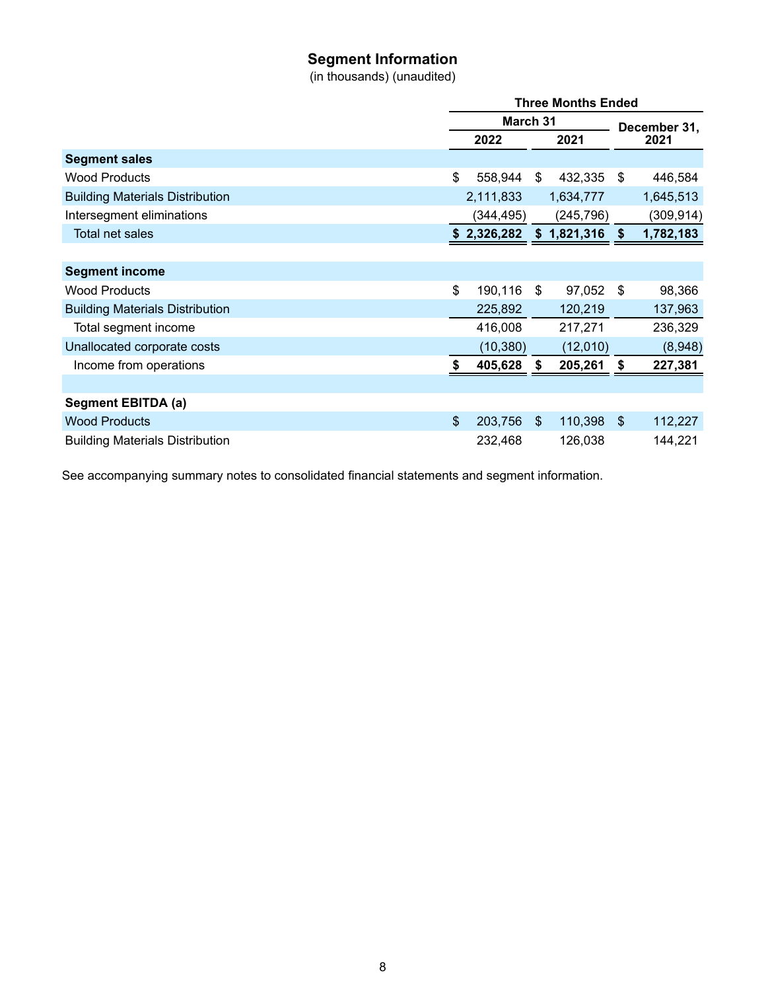# **Segment Information**

(in thousands) (unaudited)

|                                        | <b>Three Months Ended</b> |            |    |              |                |            |
|----------------------------------------|---------------------------|------------|----|--------------|----------------|------------|
|                                        | March 31                  |            |    | December 31, |                |            |
|                                        |                           | 2022       |    | 2021         |                | 2021       |
| <b>Segment sales</b>                   |                           |            |    |              |                |            |
| <b>Wood Products</b>                   | \$                        | 558,944    | \$ | 432,335      | \$             | 446,584    |
| <b>Building Materials Distribution</b> |                           | 2,111,833  |    | 1,634,777    |                | 1,645,513  |
| Intersegment eliminations              |                           | (344, 495) |    | (245,796)    |                | (309, 914) |
| Total net sales                        |                           | 2,326,282  |    | \$1,821,316  | \$             | 1,782,183  |
|                                        |                           |            |    |              |                |            |
| <b>Segment income</b>                  |                           |            |    |              |                |            |
| <b>Wood Products</b>                   | \$                        | 190,116    | \$ | 97,052       | \$             | 98,366     |
| <b>Building Materials Distribution</b> |                           | 225,892    |    | 120,219      |                | 137,963    |
| Total segment income                   |                           | 416,008    |    | 217,271      |                | 236,329    |
| Unallocated corporate costs            |                           | (10, 380)  |    | (12,010)     |                | (8,948)    |
| Income from operations                 |                           | 405,628    |    | 205,261      | \$             | 227,381    |
|                                        |                           |            |    |              |                |            |
| <b>Segment EBITDA (a)</b>              |                           |            |    |              |                |            |
| <b>Wood Products</b>                   | $\mathcal{S}$             | 203,756    | \$ | 110,398      | $\mathfrak{S}$ | 112,227    |
| <b>Building Materials Distribution</b> |                           | 232,468    |    | 126,038      |                | 144,221    |

See accompanying summary notes to consolidated financial statements and segment information.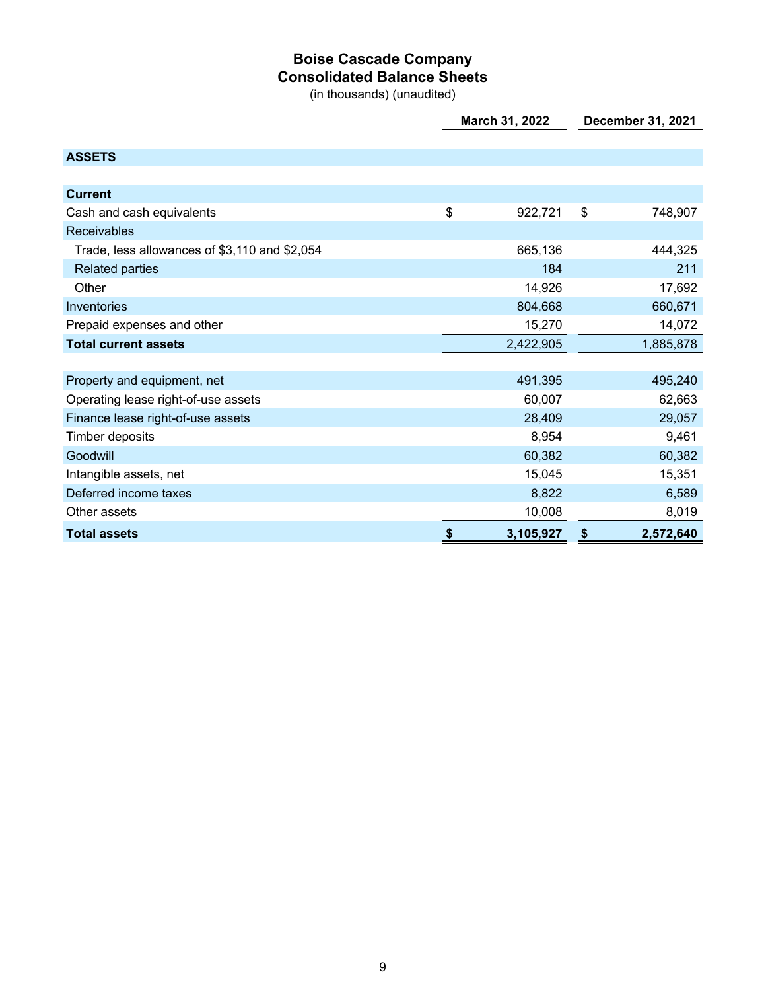# **Boise Cascade Company Consolidated Balance Sheets**

(in thousands) (unaudited)

|                                               | March 31, 2022 |           |    | <b>December 31, 2021</b> |  |  |  |
|-----------------------------------------------|----------------|-----------|----|--------------------------|--|--|--|
|                                               |                |           |    |                          |  |  |  |
| <b>ASSETS</b>                                 |                |           |    |                          |  |  |  |
|                                               |                |           |    |                          |  |  |  |
| <b>Current</b>                                |                |           |    |                          |  |  |  |
| Cash and cash equivalents                     | \$             | 922,721   | \$ | 748,907                  |  |  |  |
| Receivables                                   |                |           |    |                          |  |  |  |
| Trade, less allowances of \$3,110 and \$2,054 |                | 665,136   |    | 444,325                  |  |  |  |
| <b>Related parties</b>                        |                | 184       |    | 211                      |  |  |  |
| Other                                         |                | 14,926    |    | 17,692                   |  |  |  |
| Inventories                                   |                | 804,668   |    | 660,671                  |  |  |  |
| Prepaid expenses and other                    |                | 15,270    |    | 14,072                   |  |  |  |
| <b>Total current assets</b>                   |                | 2,422,905 |    | 1,885,878                |  |  |  |
|                                               |                |           |    |                          |  |  |  |
| Property and equipment, net                   |                | 491,395   |    | 495,240                  |  |  |  |
| Operating lease right-of-use assets           |                | 60,007    |    | 62,663                   |  |  |  |
| Finance lease right-of-use assets             |                | 28,409    |    | 29,057                   |  |  |  |
| Timber deposits                               |                | 8,954     |    | 9,461                    |  |  |  |
| Goodwill                                      |                | 60,382    |    | 60,382                   |  |  |  |
| Intangible assets, net                        |                | 15,045    |    | 15,351                   |  |  |  |
| Deferred income taxes                         |                | 8,822     |    | 6,589                    |  |  |  |
| Other assets                                  |                | 10,008    |    | 8,019                    |  |  |  |
| <b>Total assets</b>                           | \$             | 3,105,927 | \$ | 2,572,640                |  |  |  |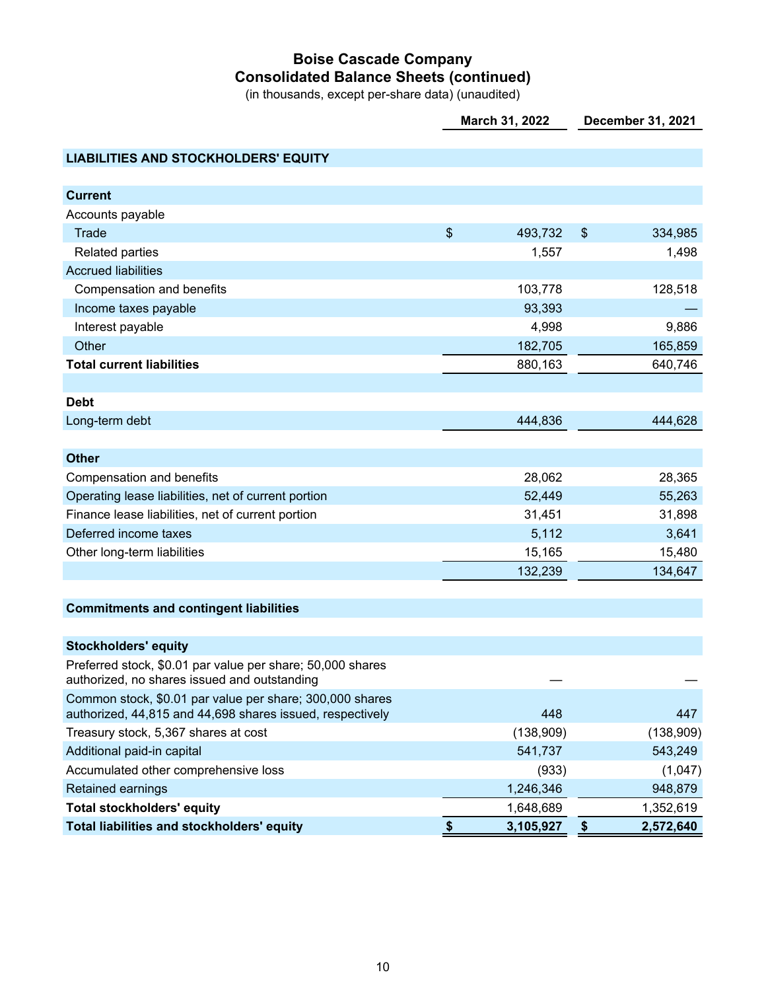# **Boise Cascade Company Consolidated Balance Sheets (continued)**

(in thousands, except per-share data) (unaudited)

|                                                                                                                       |                           | March 31, 2022 | <b>December 31, 2021</b> |
|-----------------------------------------------------------------------------------------------------------------------|---------------------------|----------------|--------------------------|
| <b>LIABILITIES AND STOCKHOLDERS' EQUITY</b>                                                                           |                           |                |                          |
|                                                                                                                       |                           |                |                          |
| <b>Current</b>                                                                                                        |                           |                |                          |
| Accounts payable                                                                                                      |                           |                |                          |
| <b>Trade</b>                                                                                                          | $\boldsymbol{\mathsf{S}}$ | 493,732        | $\$\$<br>334,985         |
| Related parties                                                                                                       |                           | 1,557          | 1,498                    |
| <b>Accrued liabilities</b>                                                                                            |                           |                |                          |
| Compensation and benefits                                                                                             |                           | 103,778        | 128,518                  |
| Income taxes payable                                                                                                  |                           | 93,393         |                          |
| Interest payable                                                                                                      |                           | 4,998          | 9,886                    |
| Other                                                                                                                 |                           | 182,705        | 165,859                  |
| <b>Total current liabilities</b>                                                                                      |                           | 880,163        | 640,746                  |
|                                                                                                                       |                           |                |                          |
| <b>Debt</b>                                                                                                           |                           |                |                          |
| Long-term debt                                                                                                        |                           | 444,836        | 444,628                  |
| <b>Other</b>                                                                                                          |                           |                |                          |
| Compensation and benefits                                                                                             |                           | 28,062         | 28,365                   |
| Operating lease liabilities, net of current portion                                                                   |                           | 52,449         | 55,263                   |
| Finance lease liabilities, net of current portion                                                                     |                           | 31,451         | 31,898                   |
| Deferred income taxes                                                                                                 |                           | 5,112          | 3,641                    |
| Other long-term liabilities                                                                                           |                           | 15,165         | 15,480                   |
|                                                                                                                       |                           | 132,239        | 134,647                  |
|                                                                                                                       |                           |                |                          |
| <b>Commitments and contingent liabilities</b>                                                                         |                           |                |                          |
| <b>Stockholders' equity</b>                                                                                           |                           |                |                          |
| Preferred stock, \$0.01 par value per share; 50,000 shares<br>authorized, no shares issued and outstanding            |                           |                |                          |
| Common stock, \$0.01 par value per share; 300,000 shares<br>authorized, 44,815 and 44,698 shares issued, respectively |                           | 448            | 447                      |
| Treasury stock, 5,367 shares at cost                                                                                  |                           | (138,909)      | (138,909)                |
| Additional paid-in capital                                                                                            |                           | 541,737        | 543,249                  |
| Accumulated other comprehensive loss                                                                                  |                           | (933)          | (1,047)                  |
| Retained earnings                                                                                                     |                           | 1,246,346      | 948,879                  |
| <b>Total stockholders' equity</b>                                                                                     |                           | 1,648,689      | 1,352,619                |
| Total liabilities and stockholders' equity                                                                            | \$                        | 3,105,927      | \$<br>2,572,640          |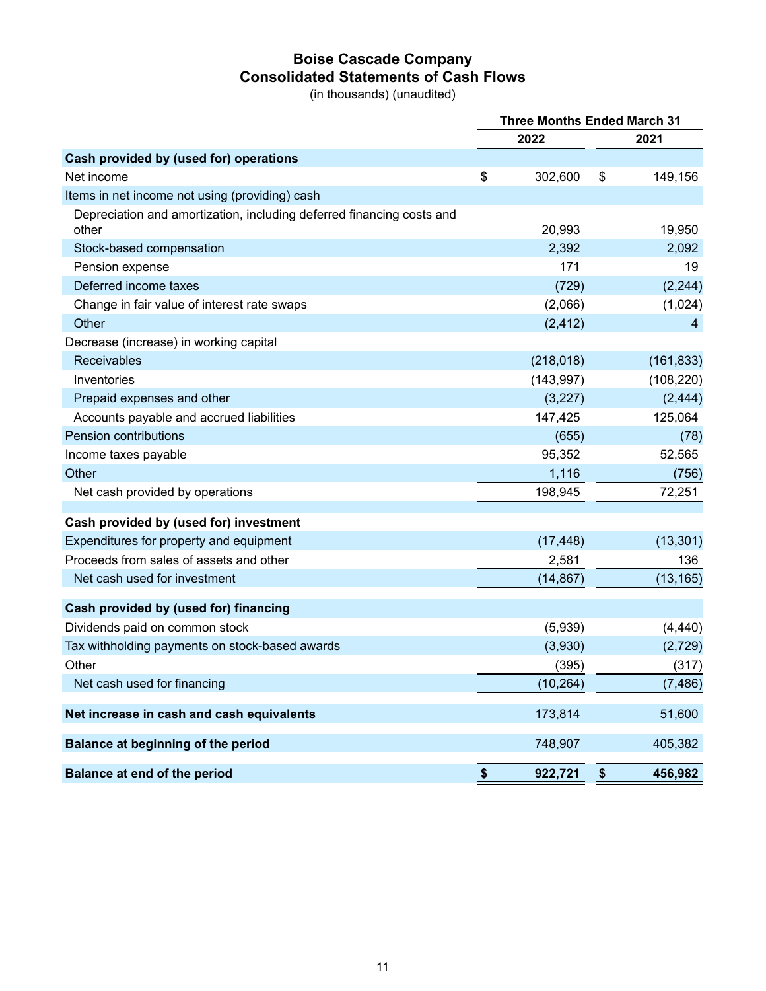# **Boise Cascade Company Consolidated Statements of Cash Flows**

(in thousands) (unaudited)

|                                                                                | <b>Three Months Ended March 31</b> |            |    |            |
|--------------------------------------------------------------------------------|------------------------------------|------------|----|------------|
|                                                                                |                                    | 2022       |    | 2021       |
| Cash provided by (used for) operations                                         |                                    |            |    |            |
| Net income                                                                     | \$                                 | 302,600    | \$ | 149,156    |
| Items in net income not using (providing) cash                                 |                                    |            |    |            |
| Depreciation and amortization, including deferred financing costs and<br>other |                                    | 20,993     |    | 19,950     |
| Stock-based compensation                                                       |                                    | 2,392      |    | 2,092      |
| Pension expense                                                                |                                    | 171        |    | 19         |
| Deferred income taxes                                                          |                                    | (729)      |    | (2, 244)   |
| Change in fair value of interest rate swaps                                    |                                    | (2,066)    |    | (1,024)    |
| Other                                                                          |                                    | (2, 412)   |    | 4          |
| Decrease (increase) in working capital                                         |                                    |            |    |            |
| <b>Receivables</b>                                                             |                                    | (218, 018) |    | (161, 833) |
| Inventories                                                                    |                                    | (143, 997) |    | (108, 220) |
| Prepaid expenses and other                                                     |                                    | (3,227)    |    | (2, 444)   |
| Accounts payable and accrued liabilities                                       |                                    | 147,425    |    | 125,064    |
| Pension contributions                                                          |                                    | (655)      |    | (78)       |
| Income taxes payable                                                           |                                    | 95,352     |    | 52,565     |
| Other                                                                          |                                    | 1,116      |    | (756)      |
| Net cash provided by operations                                                |                                    | 198,945    |    | 72,251     |
| Cash provided by (used for) investment                                         |                                    |            |    |            |
| Expenditures for property and equipment                                        |                                    | (17, 448)  |    | (13, 301)  |
| Proceeds from sales of assets and other                                        |                                    | 2,581      |    | 136        |
| Net cash used for investment                                                   |                                    | (14, 867)  |    | (13, 165)  |
| Cash provided by (used for) financing                                          |                                    |            |    |            |
| Dividends paid on common stock                                                 |                                    | (5,939)    |    | (4, 440)   |
| Tax withholding payments on stock-based awards                                 |                                    | (3,930)    |    | (2,729)    |
| Other                                                                          |                                    | (395)      |    | (317)      |
| Net cash used for financing                                                    |                                    | (10, 264)  |    | (7, 486)   |
| Net increase in cash and cash equivalents                                      |                                    | 173,814    |    | 51,600     |
| Balance at beginning of the period                                             |                                    | 748,907    |    | 405,382    |
| <b>Balance at end of the period</b>                                            | \$                                 | 922,721    | \$ | 456,982    |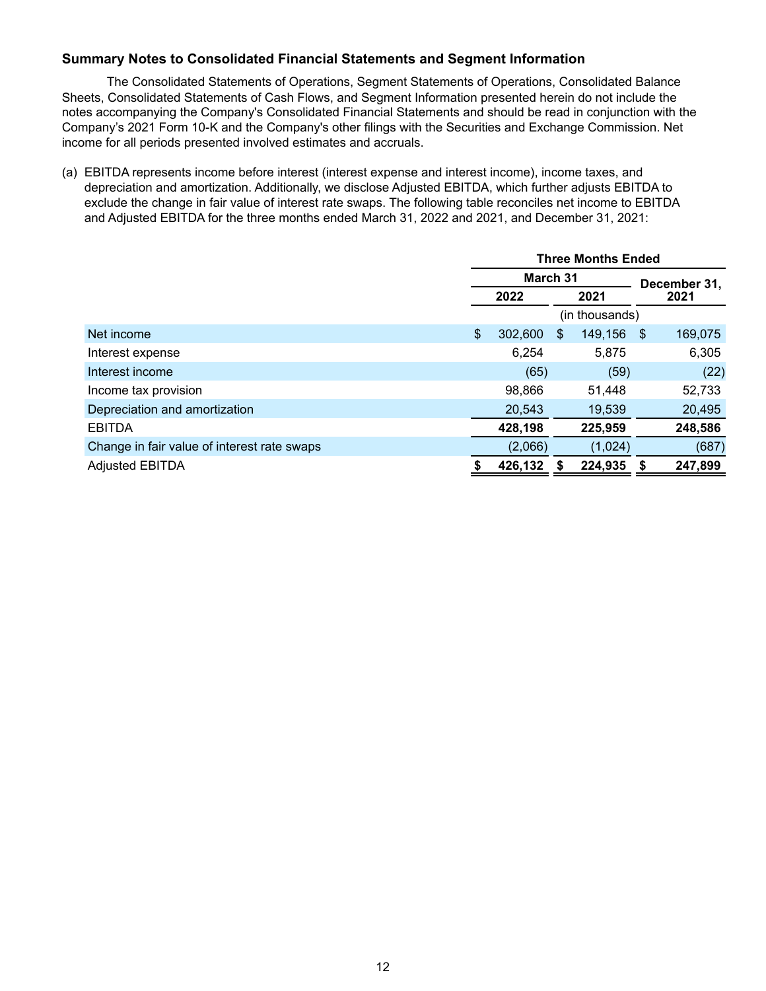#### **Summary Notes to Consolidated Financial Statements and Segment Information**

The Consolidated Statements of Operations, Segment Statements of Operations, Consolidated Balance Sheets, Consolidated Statements of Cash Flows, and Segment Information presented herein do not include the notes accompanying the Company's Consolidated Financial Statements and should be read in conjunction with the Company's 2021 Form 10-K and the Company's other filings with the Securities and Exchange Commission. Net income for all periods presented involved estimates and accruals.

(a) EBITDA represents income before interest (interest expense and interest income), income taxes, and depreciation and amortization. Additionally, we disclose Adjusted EBITDA, which further adjusts EBITDA to exclude the change in fair value of interest rate swaps. The following table reconciles net income to EBITDA and Adjusted EBITDA for the three months ended March 31, 2022 and 2021, and December 31, 2021:

|                                             | <b>Three Months Ended</b> |         |      |                |      |         |
|---------------------------------------------|---------------------------|---------|------|----------------|------|---------|
|                                             | March 31                  |         |      | December 31,   |      |         |
|                                             |                           | 2022    | 2021 |                |      | 2021    |
|                                             |                           |         |      | (in thousands) |      |         |
| Net income                                  | \$                        | 302,600 | S    | 149,156        | - \$ | 169,075 |
| Interest expense                            |                           | 6,254   |      | 5,875          |      | 6,305   |
| Interest income                             |                           | (65)    |      | (59)           |      | (22)    |
| Income tax provision                        |                           | 98.866  |      | 51,448         |      | 52,733  |
| Depreciation and amortization               |                           | 20,543  |      | 19,539         |      | 20,495  |
| <b>EBITDA</b>                               |                           | 428,198 |      | 225,959        |      | 248,586 |
| Change in fair value of interest rate swaps |                           | (2,066) |      | (1,024)        |      | (687)   |
| <b>Adjusted EBITDA</b>                      |                           | 426,132 |      | 224,935        |      | 247,899 |